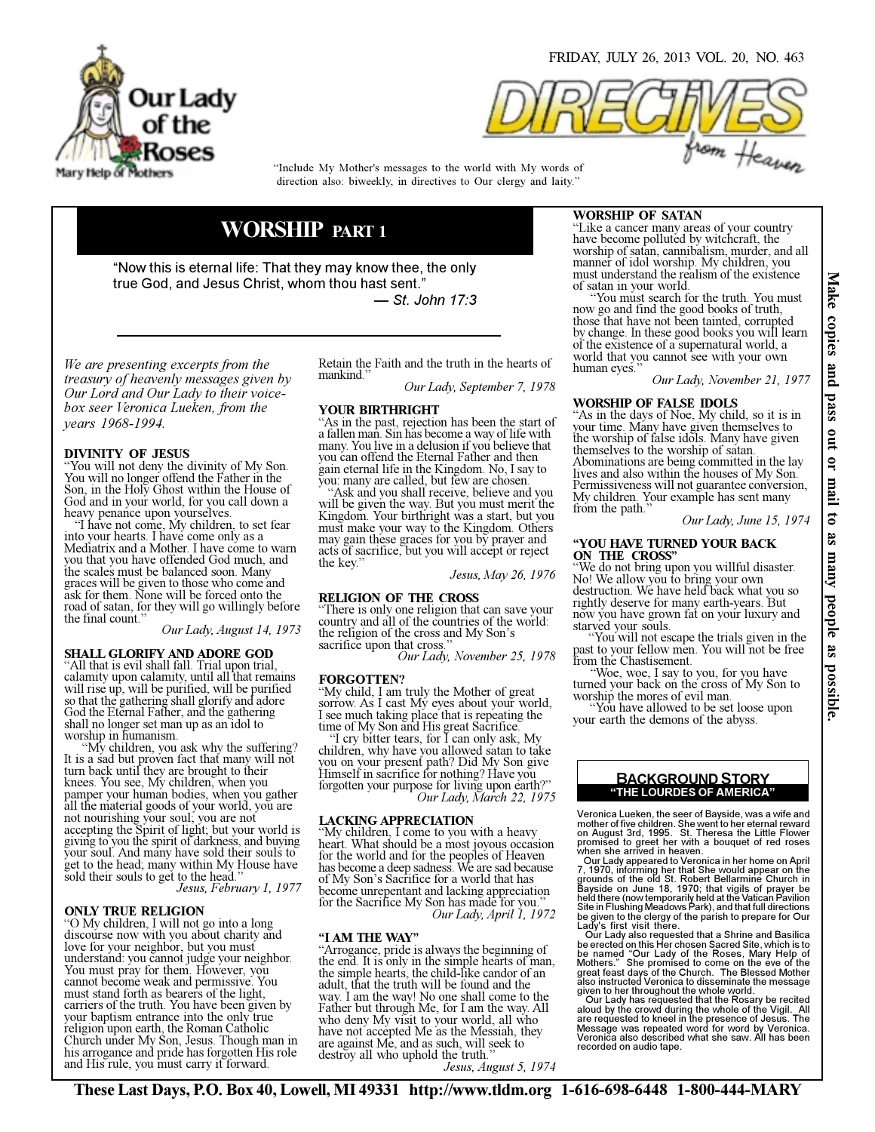

FRIDAY, JULY 26, 2013 VOL. 20, NO. 463



direction also: biweekly, in directives to Our clergy and laity." "Include My Mother's messages to the world with My words of

# WORSHIP PART 1

"Now this is eternal life: That they may know thee, the only true God, and Jesus Christ, whom thou hast sent." — St. John 17:3

We are presenting excerpts from the treasury of heavenly messages given by Our Lord and Our Lady to their voicebox seer Veronica Lueken, from the years 1968-1994.

# DIVINITY OF JESUS

You will not deny the divinity of My Son. You will no longer offend the Father in the Son, in the Holy Ghost within the House of God and in your world, for you call down a heavy penance upon yourselves.

 "I have not come, My children, to set fear into your hearts. I have come only as a Mediatrix and a Mother. I have come to warn you that you have offended God much, and the scales must be balanced soon. Many graces will be given to those who come and ask for them. None will be forced onto the road of satan, for they will go willingly before the final count."

Our Lady, August 14, 1973

#### SHALL GLORIFY AND ADORE GOD

"All that is evil shall fall. Trial upon trial, calamity upon calamity, until all that remains will rise up, will be purified, will be purified so that the gathering shall glorify and adore God the Eternal Father, and the gathering shall no longer set man up as an idol to worship in humanism.<br>
"My children, you ask why the suffering?"

It is a sad but proven fact that many will not turn back until they are brought to their knees. You see, My children, when you pamper your human bodies, when you gather all the material goods of your world, you are not nourishing your soul; you are not accepting the Spirit of light; but your world is giving to you the spirit of darkness, and buying your soul. And many have sold their souls to get to the head; many within My House have sold their souls to get to the head."<br>*Jesus, February 1, 1977* 

# ONLY TRUE RELIGION

"O My children, I will not go into a long discourse now with you about charity and love for your neighbor, but you must understand: you cannot judge your neighbor. You must pray for them. However, you cannot become weak and permissive. You must stand forth as bearers of the light, carriers of the truth. You have been given by your baptism entrance into the only true religion upon earth, the Roman Catholic Church under My Son, Jesus. Though man in his arrogance and pride has forgotten His role and His rule, you must carry it forward.

Retain the Faith and the truth in the hearts of mankind."

Our Lady, September 7, 1978

#### YOUR BIRTHRIGHT

"As in the past, rejection has been the start of a fallen man. Sin has become a way of life with many. You live in a delusion if you believe that you can offend the Eternal Father and then gain eternal life in the Kingdom. No, I say to you: many are called, but few are chosen.

 "Ask and you shall receive, believe and you will be given the way. But you must merit the Kingdom. Your birthright was a start, but you must make your way to the Kingdom. Others may gain these graces for you by prayer and acts of sacrifice, but you will accept or reject the key."

Jesus, May 26, 1976

RELIGION OF THE CROSS "There is only one religion that can save your country and all of the countries of the world: the religion of the cross and My Son's sacrifice upon that cross."

Our Lady, November 25, 1978

#### FORGOTTEN?

"My child, I am truly the Mother of great sorrow. As I cast My eyes about your world, I see much taking place that is repeating the time of My Son and His great Sacrifice.

 "I cry bitter tears, for I can only ask, My children, why have you allowed satan to take you on your present path? Did My Son give Himself in sacrifice for nothing? Have you forgotten your purpose for living upon earth?" Our Lady, March 22, 1975

### LACKING APPRECIATION

"My children, I come to you with a heavy heart. What should be a most joyous occasion for the world and for the peoples of Heaven has become a deep sadness. We are sad because of My Son's Sacrifice for a world that has become unrepentant and lacking appreciation for the Sacrifice My Son has made for you." Our Lady, April 1, 1972

#### "I AM THE WAY"

"Arrogance, pride is always the beginning of the end. It is only in the simple hearts of man, the simple hearts, the child-like candor of an adult, that the truth will be found and the way. I am the way! No one shall come to the Father but through Me, for I am the way. All who deny My visit to your world, all who have not accepted Me as the Messiah, they are against Me, and as such, will seek to destroy all who uphold the truth."<br>*Jesus, August 5, 1974* 

# WORSHIP OF SATAN

"Like a cancer many areas of your country have become polluted by witchcraft, the worship of satan, cannibalism, murder, and all manner of idol worship. My children, you must understand the realism of the existence of satan in your world.

 "You must search for the truth. You must now go and find the good books of truth, those that have not been tainted, corrupted by change. In these good books you will learn of the existence of a supernatural world, a world that you cannot see with your own human eyes."

Our Lady, November 21, 1977

# WORSHIP OF FALSE IDOLS

"As in the days of Noe, My child, so it is in your time. Many have given themselves to the worship of false idols. Many have given themselves to the worship of satan. Abominations are being committed in the lay lives and also within the houses of My Son. Permissiveness will not guarantee conversion, My children. Your example has sent many

Our Lady, June 15, 1974

#### "YOU HAVE TURNED YOUR BACK ON THE CROSS"

"We do not bring upon you willful disaster.<br>No! We allow you to bring your own destruction. We have held back what you so rightly deserve for many earth-years. But now you have grown fat on your luxury and starved your souls.<br>"You will not escape the trials given in the

past to your fellow men. You will not be free from the Chastisement.

 "Woe, woe, I say to you, for you have turned your back on the cross of My Son to worship the mores of evil man.

 "You have allowed to be set loose upon your earth the demons of the abyss.

#### "THE LOURDES OF AMERICA" BACKGROUND STORY

Veronica Lueken, the seer of Bayside, was a wife and mother of five children. She went to her eternal reward<br>on August 3rd, 1995. St. Theresa the Little Flower<br>promised to greet her with a bouquet of red roses<br>when she arrived in heaven.<br>Our Lady appeared to Veronica in her

7, 1970, informing her that She would appear on the<br>grounds of the old St. Robert Bellarmine Church in<br>Bayside on June 18, 1970; that vigils of prayer be<br>held there (now temporarily held at the Vatican Pavilion<br>Site in Flu

Lady's first visit there.<br>Cur Lady also requested that a Shrine and Basilica<br>be erected on this Her chosen Sacred Site, which is to<br>be named "Our Lady of the Roses, Mary Help of<br>Mothers." She promised to come on the eve of given to her throughout the whole world. Our Lady has requested that the Rosary be recited

aloud by the crowd during the whole of the Vigil. All are requested to kneel in the presence of Jesus. The Message was repeated word for word by Veronica. Veronica also described what she saw. All has been recorded on audio tape.